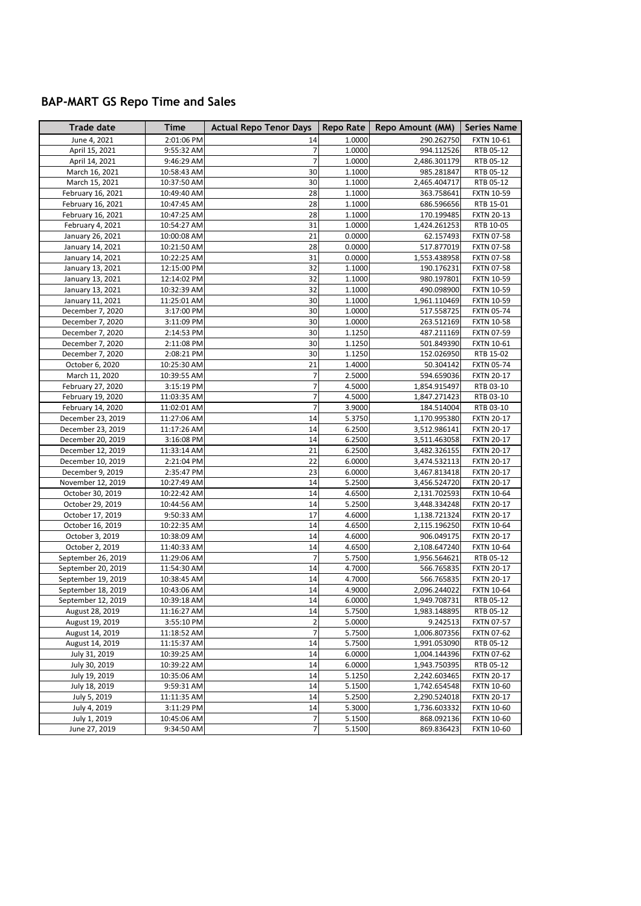## **BAP-MART GS Repo Time and Sales**

| Trade date                           | Time                      | <b>Actual Repo Tenor Days</b> | Repo Rate        | Repo Amount (MM)             | <b>Series Name</b>                     |
|--------------------------------------|---------------------------|-------------------------------|------------------|------------------------------|----------------------------------------|
| June 4, 2021                         | 2:01:06 PM                | 14                            | 1.0000           | 290.262750                   | <b>FXTN 10-61</b>                      |
| April 15, 2021                       | 9:55:32 AM                | $\overline{7}$                | 1.0000           | 994.112526                   | RTB 05-12                              |
| April 14, 2021                       | 9:46:29 AM                | $\overline{7}$                | 1.0000           | 2,486.301179                 | RTB 05-12                              |
| March 16, 2021                       | 10:58:43 AM               | 30                            | 1.1000           | 985.281847                   | RTB 05-12                              |
| March 15, 2021                       | 10:37:50 AM               | 30                            | 1.1000           | 2,465.404717                 | RTB 05-12                              |
| February 16, 2021                    | 10:49:40 AM               | 28                            | 1.1000           | 363.758641                   | <b>FXTN 10-59</b>                      |
| February 16, 2021                    | 10:47:45 AM               | 28                            | 1.1000           | 686.596656                   | RTB 15-01                              |
| February 16, 2021                    | 10:47:25 AM               | 28                            | 1.1000           | 170.199485                   | <b>FXTN 20-13</b>                      |
| February 4, 2021                     | 10:54:27 AM               | 31                            | 1.0000           | 1,424.261253                 | RTB 10-05                              |
| January 26, 2021                     | 10:00:08 AM               | 21                            | 0.0000           | 62.157493                    | <b>FXTN 07-58</b>                      |
| January 14, 2021                     | 10:21:50 AM               | 28                            | 0.0000           | 517.877019                   | <b>FXTN 07-58</b>                      |
| January 14, 2021                     | 10:22:25 AM               | 31                            | 0.0000           | 1,553.438958                 | <b>FXTN 07-58</b>                      |
| January 13, 2021                     | 12:15:00 PM               | 32                            | 1.1000           | 190.176231                   | <b>FXTN 07-58</b>                      |
| January 13, 2021                     | 12:14:02 PM               | 32                            | 1.1000           | 980.197801                   | <b>FXTN 10-59</b>                      |
| January 13, 2021                     | 10:32:39 AM               | 32                            | 1.1000           | 490.098900                   | <b>FXTN 10-59</b>                      |
| January 11, 2021                     | 11:25:01 AM               | 30                            | 1.1000           | 1,961.110469                 | <b>FXTN 10-59</b>                      |
| December 7, 2020                     | 3:17:00 PM                | 30                            | 1.0000           | 517.558725                   | <b>FXTN 05-74</b>                      |
| December 7, 2020                     | 3:11:09 PM                | 30                            | 1.0000           | 263.512169                   | <b>FXTN 10-58</b>                      |
| December 7, 2020                     | 2:14:53 PM                | 30                            | 1.1250           | 487.211169                   | FXTN 07-59                             |
| December 7, 2020                     | 2:11:08 PM                | 30                            | 1.1250           | 501.849390                   | <b>FXTN 10-61</b>                      |
| December 7, 2020                     | 2:08:21 PM                | 30                            | 1.1250           | 152.026950                   | RTB 15-02                              |
| October 6, 2020                      | 10:25:30 AM               | 21                            | 1.4000           | 50.304142                    | <b>FXTN 05-74</b>                      |
| March 11, 2020                       | 10:39:55 AM               | $\overline{7}$                | 2.5000           | 594.659036                   | <b>FXTN 20-17</b>                      |
| February 27, 2020                    | 3:15:19 PM                | $\overline{7}$                | 4.5000           | 1,854.915497                 | RTB 03-10                              |
| February 19, 2020                    | 11:03:35 AM               | $\overline{7}$                | 4.5000           | 1,847.271423                 | RTB 03-10                              |
| February 14, 2020                    | 11:02:01 AM               | $\overline{7}$                | 3.9000           | 184.514004                   | RTB 03-10                              |
| December 23, 2019                    | 11:27:06 AM               | 14                            | 5.3750           | 1,170.995380                 | <b>FXTN 20-17</b>                      |
| December 23, 2019                    | 11:17:26 AM               | 14                            | 6.2500           | 3,512.986141                 | <b>FXTN 20-17</b>                      |
| December 20, 2019                    | 3:16:08 PM                | 14                            | 6.2500           | 3,511.463058                 | <b>FXTN 20-17</b>                      |
| December 12, 2019                    | 11:33:14 AM               | 21                            | 6.2500           | 3,482.326155                 | <b>FXTN 20-17</b>                      |
| December 10, 2019                    | 2:21:04 PM                | 22                            | 6.0000           | 3,474.532113                 | <b>FXTN 20-17</b>                      |
| December 9, 2019                     | 2:35:47 PM                | 23                            | 6.0000           | 3,467.813418                 | <b>FXTN 20-17</b>                      |
| November 12, 2019                    | 10:27:49 AM               | 14<br>14                      | 5.2500           | 3,456.524720                 | <b>FXTN 20-17</b>                      |
| October 30, 2019                     | 10:22:42 AM               | 14                            | 4.6500<br>5.2500 | 2,131.702593                 | <b>FXTN 10-64</b>                      |
| October 29, 2019<br>October 17, 2019 | 10:44:56 AM<br>9:50:33 AM | 17                            | 4.6000           | 3,448.334248<br>1,138.721324 | <b>FXTN 20-17</b><br><b>FXTN 20-17</b> |
| October 16, 2019                     | 10:22:35 AM               | 14                            | 4.6500           | 2,115.196250                 | <b>FXTN 10-64</b>                      |
| October 3, 2019                      | 10:38:09 AM               | 14                            | 4.6000           | 906.049175                   | <b>FXTN 20-17</b>                      |
| October 2, 2019                      | 11:40:33 AM               | 14                            | 4.6500           | 2,108.647240                 | <b>FXTN 10-64</b>                      |
| September 26, 2019                   | 11:29:06 AM               | $\overline{7}$                | 5.7500           | 1,956.564621                 | RTB 05-12                              |
| September 20, 2019                   | 11:54:30 AM               | 14                            | 4.7000           | 566.765835                   | <b>FXTN 20-17</b>                      |
| September 19, 2019                   | 10:38:45 AM               | 14                            | 4.7000           | 566.765835                   | <b>FXTN 20-17</b>                      |
| September 18, 2019                   | 10:43:06 AM               | 14                            | 4.9000           | 2,096.244022                 | <b>FXTN 10-64</b>                      |
| September 12, 2019                   | 10:39:18 AM               | 14                            | 6.0000           | 1,949.708731                 | RTB 05-12                              |
| August 28, 2019                      | 11:16:27 AM               | 14                            | 5.7500           | 1,983.148895                 | RTB 05-12                              |
| August 19, 2019                      | 3:55:10 PM                | $\overline{2}$                | 5.0000           | 9.242513                     | <b>FXTN 07-57</b>                      |
| August 14, 2019                      | 11:18:52 AM               | $\overline{7}$                | 5.7500           | 1,006.807356                 | <b>FXTN 07-62</b>                      |
| August 14, 2019                      | 11:15:37 AM               | 14                            | 5.7500           | 1,991.053090                 | RTB 05-12                              |
| July 31, 2019                        | 10:39:25 AM               | 14                            | 6.0000           | 1,004.144396                 | <b>FXTN 07-62</b>                      |
| July 30, 2019                        | 10:39:22 AM               | 14                            | 6.0000           | 1,943.750395                 | RTB 05-12                              |
| July 19, 2019                        | 10:35:06 AM               | 14                            | 5.1250           | 2,242.603465                 | <b>FXTN 20-17</b>                      |
| July 18, 2019                        | 9:59:31 AM                | 14                            | 5.1500           | 1,742.654548                 | <b>FXTN 10-60</b>                      |
| July 5, 2019                         | 11:11:35 AM               | 14                            | 5.2500           | 2,290.524018                 | <b>FXTN 20-17</b>                      |
| July 4, 2019                         | 3:11:29 PM                | 14                            | 5.3000           | 1,736.603332                 | <b>FXTN 10-60</b>                      |
| July 1, 2019                         | 10:45:06 AM               | $\overline{7}$                | 5.1500           | 868.092136                   | <b>FXTN 10-60</b>                      |
| June 27, 2019                        | 9:34:50 AM                | $\overline{7}$                | 5.1500           | 869.836423                   | <b>FXTN 10-60</b>                      |